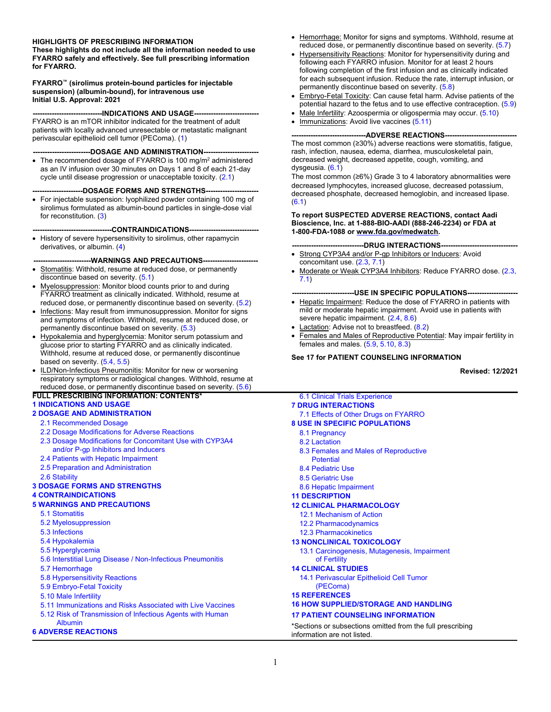#### **HIGHLIGHTS OF PRESCRIBING INFORMATION**

**These highlights do not include all the information needed to use FYARRO safely and effectively. See full prescribing information for FYARRO.** 

#### **FYARRO™ (sirolimus protein-bound particles for injectable suspension) (albumin-bound), for intravenous use Initial U.S. Approval: 2021**

**---INDICATIONS AND USAGE----**

FYARRO is an mTOR inhibitor indicated for the treatment of adult patients with locally advanced unresectable or metastatic malignant perivascular epithelioid cell tumor (PEComa). ([1](#page-1-0))

#### ----DOSAGE AND ADMINISTRATION----

• The recommended dosage of FYARRO is 100 mg/m<sup>2</sup> administered as an IV infusion over 30 minutes on Days 1 and 8 of each 21-day cycle until disease progression or unacceptable toxicity. ([2.1\)](#page-1-0)

#### ----DOSAGE FORMS AND STRENGTHS----

• For injectable suspension: lyophilized powder containing 100 mg of sirolimus formulated as albumin-bound particles in single-dose vial for reconstitution. [\(3\)](#page-5-0)

**---------------------------------CONTRAINDICATIONS-----------------------------**

• History of severe hypersensitivity to sirolimus, other rapamycin derivatives, or albumin. ([4](#page-5-0))

**------------------------WARNINGS AND PRECAUTIONS-----------------------**

- Stomatitis: Withhold, resume at reduced dose, or permanently discontinue based on severity. [\(5.1](#page-5-0))
- Myelosuppression: Monitor blood counts prior to and during FYARRO treatment as clinically indicated. Withhold, resume at reduced dose, or permanently discontinue based on severity. [\(5.2\)](#page-5-0)
- Infections: May result from immunosuppression. Monitor for signs and symptoms of infection. Withhold, resume at reduced dose, or permanently discontinue based on severity. [\(5.3\)](#page-5-0)
- Hypokalemia and hyperglycemia: Monitor serum potassium and glucose prior to starting FYARRO and as clinically indicated. Withhold, resume at reduced dose, or permanently discontinue based on severity. ([5.4,](#page-5-0) [5.5](#page-6-0))
- ILD/Non-Infectious Pneumonitis: Monitor for new or worsening respiratory symptoms or radiological changes. Withhold, resume at reduced dose, or permanently discontinue based on severity. [\(5.6\)](#page-6-0)

#### **FULL PRESCRIBING INFORMATION: CONTENTS\***

#### **[1 INDICATIONS AND USAGE](#page-1-0)  [2 DOSAGE AND ADMINISTRATION](#page-1-0)**

- [2.1 Recommended Dosage](#page-1-0)
- [2.2 Dosage Modifications for Adverse Reactions](#page-1-0)
- [2.3 Dosage Modifications for Concomitant Use with CYP3A4](#page-3-0) [and/or P-gp Inhibitors and Inducers](#page-3-0)
- [2.4 Patients with Hepatic Impairment](#page-3-0)
- [2.5 Preparation and Administration](#page-3-0)
- [2.6 Stability](#page-4-0)

#### **[3 DOSAGE FORMS AND STRENGTHS](#page-5-0)**

#### **[4 CONTRAINDICATIONS](#page-5-0)**

#### **[5 WARNINGS AND PRECAUTIONS](#page-5-0)**

- [5.1 Stomatitis](#page-5-0)
- [5.2 Myelosuppression](#page-5-0)
- [5.3 Infections](#page-5-0)
- [5.4 Hypokalemia](#page-5-0)
- [5.5 Hyperglycemia](#page-6-0)
- [5.6 Interstitial Lung Disease / Non-Infectious Pneumonitis](#page-6-0)
- [5.7 Hemorrhage](#page-6-0)
- [5.8 Hypersensitivity Reactions](#page-6-0)
- [5.9 Embryo-Fetal Toxicity](#page-6-0)
- [5.10 Male Infertility](#page-7-0)
- [5.11 Immunizations and Risks Associated with Live Vaccines](#page-7-0)
- [5.12 Risk of Transmission of Infectious Agents with Human](#page-7-0)
- [Albumin](#page-7-0)  **[6 ADVERSE REACTIONS](#page-7-0)**
- Hemorrhage: Monitor for signs and symptoms. Withhold, resume at reduced dose, or permanently discontinue based on severity. ([5.7](#page-6-0))
- Hypersensitivity Reactions: Monitor for hypersensitivity during and following each FYARRO infusion. Monitor for at least 2 hours following completion of the first infusion and as clinically indicated for each subsequent infusion. Reduce the rate, interrupt infusion, or permanently discontinue based on severity. [\(5.8\)](#page-6-0)
- Embryo-Fetal Toxicity: Can cause fetal harm. Advise patients of the potential hazard to the fetus and to use effective contraception. [\(5.9](#page-6-0))
- Male Infertility: Azoospermia or oligospermia may occur. [\(5.10\)](#page-7-0)
- Immunizations: Avoid live vaccines [\(5.11\)](#page-7-0)

#### **-------------------------------ADVERSE REACTIONS------------------------------**

The most common (≥30%) adverse reactions were stomatitis, fatigue, rash, infection, nausea, edema, diarrhea, musculoskeletal pain, decreased weight, decreased appetite, cough, vomiting, and dysgeusia. [\(6.1](#page-7-0))

The most common (≥6%) Grade 3 to 4 laboratory abnormalities were decreased lymphocytes, increased glucose, decreased potassium, decreased phosphate, decreased hemoglobin, and increased lipase.  $(6.1)$  $(6.1)$ 

#### **To report SUSPECTED ADVERSE REACTIONS, contact Aadi Bioscience, Inc. at 1-888-BIO-AADI (888-246-2234) or FDA at 1-800-FDA-1088 or www.fda.gov/medwatch.**

#### **------------------------------DRUG INTERACTIONS--------------------------------**

- Strong CYP3A4 and/or P-gp Inhibitors or Inducers: Avoid concomitant use. [\(2.3](#page-3-0), [7.1\)](#page-11-0)
- Moderate or Weak CYP3A4 Inhibitors: Reduce FYARRO dose. ([2.3,](#page-3-0) [7.1](#page-11-0))

#### **--------------------------USE IN SPECIFIC POPULATIONS---------------------**

- Hepatic Impairment: Reduce the dose of FYARRO in patients with mild or moderate hepatic impairment. Avoid use in patients with severe hepatic impairment. ([2.4,](#page-3-0) [8.6](#page-13-0))
- Lactation: Advise not to breastfeed. ([8.2](#page-12-0))
- Females and Males of Reproductive Potential: May impair fertility in females and males. [\(5.9](#page-6-0), [5.10](#page-7-0), [8.3\)](#page-12-0)

#### **See 17 for PATIENT COUNSELING INFORMATION**

**Revised: 12/2021**

#### **[7 DRUG INTERACTIONS](#page-11-0)** [7.1 Effects of Other Drugs on FYARRO](#page-11-0) **[8 USE IN SPECIFIC POPULATIONS](#page-11-0)** [8.1 Pregnancy](#page-11-0)  [8.2 Lactation](#page-12-0)  [8.3 Females and Males of Reproductive](#page-12-0) **Potential** [8.4 Pediatric Use](#page-13-0)  [8.5 Geriatric Use](#page-13-0)  [8.6 Hepatic Impairment](#page-13-0)  **[11 DESCRIPTION](#page-13-0)  [12 CLINICAL PHARMACOLOGY](#page-14-0)** [12.1 Mechanism of Action](#page-14-0)  [12.2 Pharmacodynamics](#page-14-0) [12.3 Pharmacokinetics](#page-15-0)  **[13 NONCLINICAL TOXICOLOGY](#page-15-0)**  [13.1 Carcinogenesis, Mutagenesis, Impairment](#page-15-0) [of Fertility](#page-15-0)

- **[14 CLINICAL STUDIES](#page-16-0)**
	- [14.1 Perivascular Epithelioid Cell Tumor](#page-16-0) [\(PEComa\)](#page-16-0)
- **[15 REFERENCES](#page-16-0)**

#### **[16 HOW SUPPLIED/STORAGE AND HANDLING](#page-16-0)**

#### **[17 PATIENT COUNSELING INFORMATION](#page-17-0)**

\*Sections or subsections omitted from the full prescribing information are not listed.

# [6.1 Clinical Trials Experience](#page-7-0)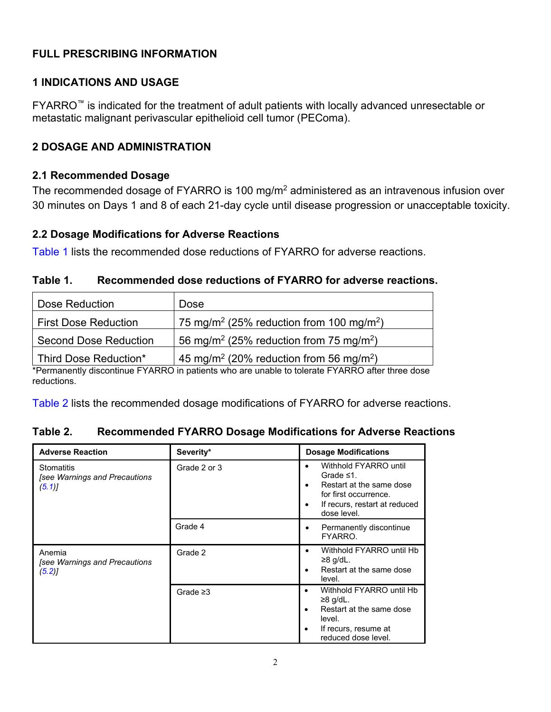### <span id="page-1-0"></span>**FULL PRESCRIBING INFORMATION**

### **1 INDICATIONS AND USAGE**

FYARRO™ is indicated for the treatment of adult patients with locally advanced unresectable or metastatic malignant perivascular epithelioid cell tumor (PEComa).

### **2 DOSAGE AND ADMINISTRATION**

#### **2.1 Recommended Dosage**

The recommended dosage of FYARRO is 100 mg/m<sup>2</sup> administered as an intravenous infusion over 30 minutes on Days 1 and 8 of each 21-day cycle until disease progression or unacceptable toxicity.

#### **2.2 Dosage Modifications for Adverse Reactions**

Table 1 lists the recommended dose reductions of FYARRO for adverse reactions.

| Recommended dose reductions of FYARRO for adverse reactions.<br>Table 1. |  |
|--------------------------------------------------------------------------|--|
|--------------------------------------------------------------------------|--|

| Dose Reduction               | Dose                                                             |
|------------------------------|------------------------------------------------------------------|
| <b>First Dose Reduction</b>  | 75 mg/m <sup>2</sup> (25% reduction from 100 mg/m <sup>2</sup> ) |
| <b>Second Dose Reduction</b> | 56 mg/m <sup>2</sup> (25% reduction from 75 mg/m <sup>2</sup> )  |
| Third Dose Reduction*        | 45 mg/m <sup>2</sup> (20% reduction from 56 mg/m <sup>2</sup> )  |

\*Permanently discontinue FYARRO in patients who are unable to tolerate FYARRO after three dose reductions.

Table 2 lists the recommended dosage modifications of FYARRO for adverse reactions.

#### **Table 2. Recommended FYARRO Dosage Modifications for Adverse Reactions**

| <b>Adverse Reaction</b>                                         | Severity*      | <b>Dosage Modifications</b>                                                                                                                                      |
|-----------------------------------------------------------------|----------------|------------------------------------------------------------------------------------------------------------------------------------------------------------------|
| <b>Stomatitis</b><br>[see Warnings and Precautions<br>$(5.1)$ ] | Grade 2 or 3   | Withhold FYARRO until<br>٠<br>Grade $\leq 1$ .<br>Restart at the same dose<br>for first occurrence.<br>If recurs, restart at reduced<br>٠<br>dose level.         |
|                                                                 | Grade 4        | Permanently discontinue<br>٠<br>FYARRO.                                                                                                                          |
| Anemia<br><b>See Warnings and Precautions</b><br>(5.2)          | Grade 2        | Withhold FYARRO until Hb<br>≥8 g/dL.<br>Restart at the same dose<br>level.                                                                                       |
|                                                                 | Grade $\geq$ 3 | Withhold FYARRO until Hb<br>$\bullet$<br>≥8 g/dL.<br>Restart at the same dose<br>$\bullet$<br>level.<br>If recurs, resume at<br>$\bullet$<br>reduced dose level. |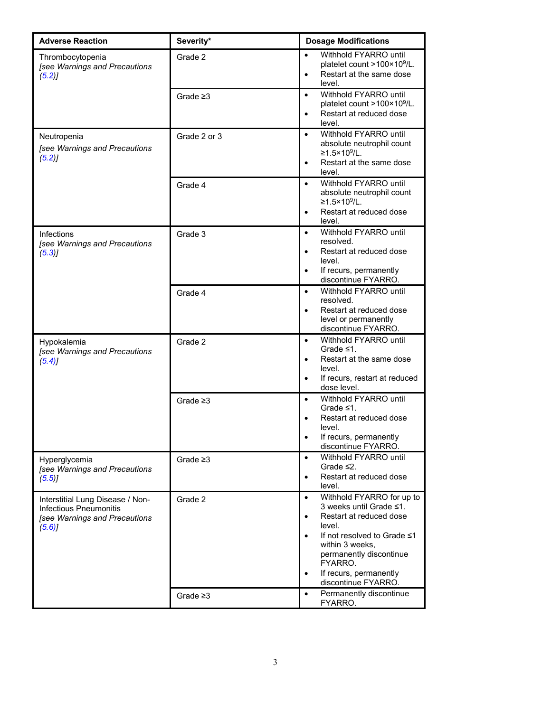| <b>Adverse Reaction</b>                                                                                     | Severity*      | <b>Dosage Modifications</b>                                                                                                                                                                                                                                                            |
|-------------------------------------------------------------------------------------------------------------|----------------|----------------------------------------------------------------------------------------------------------------------------------------------------------------------------------------------------------------------------------------------------------------------------------------|
| Thrombocytopenia<br>[see Warnings and Precautions<br>(5.2)                                                  | Grade 2        | Withhold FYARRO until<br>$\bullet$<br>platelet count >100×10 <sup>9</sup> /L.<br>Restart at the same dose<br>$\bullet$<br>level.                                                                                                                                                       |
|                                                                                                             | Grade $\geq$ 3 | Withhold FYARRO until<br>$\bullet$<br>platelet count >100×109/L.<br>Restart at reduced dose<br>$\bullet$<br>level.                                                                                                                                                                     |
| Neutropenia<br>[see Warnings and Precautions<br>(5.2)                                                       | Grade 2 or 3   | Withhold FYARRO until<br>$\bullet$<br>absolute neutrophil count<br>≥1.5×10 <sup>9</sup> /L.<br>Restart at the same dose<br>level.                                                                                                                                                      |
|                                                                                                             | Grade 4        | Withhold FYARRO until<br>$\bullet$<br>absolute neutrophil count<br>≥1.5×10 <sup>9</sup> /L.<br>Restart at reduced dose<br>level.                                                                                                                                                       |
| Infections<br>[see Warnings and Precautions<br>(5.3)                                                        | Grade 3        | Withhold FYARRO until<br>$\bullet$<br>resolved.<br>Restart at reduced dose<br>$\bullet$<br>level.<br>If recurs, permanently<br>$\bullet$<br>discontinue FYARRO.                                                                                                                        |
|                                                                                                             | Grade 4        | Withhold FYARRO until<br>$\bullet$<br>resolved.<br>Restart at reduced dose<br>$\bullet$<br>level or permanently<br>discontinue FYARRO.                                                                                                                                                 |
| Hypokalemia<br>[see Warnings and Precautions<br>(5.4)                                                       | Grade 2        | Withhold FYARRO until<br>$\bullet$<br>Grade $\leq 1$ .<br>Restart at the same dose<br>$\bullet$<br>level.<br>If recurs, restart at reduced<br>$\bullet$<br>dose level.                                                                                                                 |
|                                                                                                             | Grade $\geq 3$ | Withhold FYARRO until<br>$\bullet$<br>Grade $\leq 1$ .<br>Restart at reduced dose<br>$\bullet$<br>level.<br>If recurs, permanently<br>discontinue FYARRO.                                                                                                                              |
| Hyperglycemia<br>[see Warnings and Precautions<br>(5.5)                                                     | Grade $\geq$ 3 | Withhold FYARRO until<br>$\bullet$<br>Grade $\leq 2$ .<br>Restart at reduced dose<br>$\bullet$<br>level.                                                                                                                                                                               |
| Interstitial Lung Disease / Non-<br><b>Infectious Pneumonitis</b><br>[see Warnings and Precautions<br>(5.6) | Grade 2        | Withhold FYARRO for up to<br>$\bullet$<br>3 weeks until Grade ≤1.<br>Restart at reduced dose<br>$\bullet$<br>level.<br>If not resolved to Grade ≤1<br>$\bullet$<br>within 3 weeks,<br>permanently discontinue<br>FYARRO.<br>If recurs, permanently<br>$\bullet$<br>discontinue FYARRO. |
|                                                                                                             | Grade $\geq 3$ | Permanently discontinue<br>$\bullet$<br>FYARRO.                                                                                                                                                                                                                                        |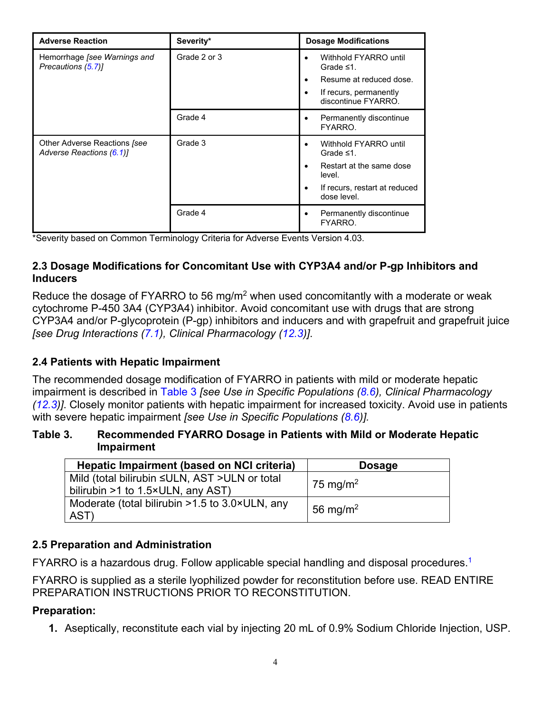<span id="page-3-0"></span>

| <b>Adverse Reaction</b>                                  | Severity*    | <b>Dosage Modifications</b>                                                                                                                                  |
|----------------------------------------------------------|--------------|--------------------------------------------------------------------------------------------------------------------------------------------------------------|
| Hemorrhage [see Warnings and<br>Precautions (5.7)]       | Grade 2 or 3 | Withhold FYARRO until<br>$\bullet$<br>Grade $\leq 1$ .<br>Resume at reduced dose.<br>$\bullet$<br>If recurs, permanently<br>$\bullet$<br>discontinue FYARRO. |
|                                                          | Grade 4      | Permanently discontinue<br>$\bullet$<br>FYARRO.                                                                                                              |
| Other Adverse Reactions [see<br>Adverse Reactions (6.1)] | Grade 3      | Withhold FYARRO until<br>$\bullet$<br>Grade $\leq 1$ .<br>Restart at the same dose<br>$\bullet$<br>level.<br>If recurs, restart at reduced<br>dose level.    |
|                                                          | Grade 4      | Permanently discontinue<br>$\bullet$<br>FYARRO.                                                                                                              |

\*Severity based on Common Terminology Criteria for Adverse Events Version 4.03.

#### **2.3 Dosage Modifications for Concomitant Use with CYP3A4 and/or P-gp Inhibitors and Inducers**

Reduce the dosage of FYARRO to 56 mg/m<sup>2</sup> when used concomitantly with a moderate or weak cytochrome P-450 3A4 (CYP3A4) inhibitor. Avoid concomitant use with drugs that are strong CYP3A4 and/or P-glycoprotein (P-gp) inhibitors and inducers and with grapefruit and grapefruit juice *[see Drug Interactions ([7.1](#page-11-0)), Clinical Pharmacology ([12.3](#page-15-0))]*.

#### **2.4 Patients with Hepatic Impairment**

The recommended dosage modification of FYARRO in patients with mild or moderate hepatic impairment is described in Table 3 *[see Use in Specific Populations ([8.6](#page-13-0)), Clinical Pharmacology ([12.3](#page-15-0))]*. Closely monitor patients with hepatic impairment for increased toxicity. Avoid use in patients with severe hepatic impairment *[see Use in Specific Populations ([8.6\)](#page-13-0)].*

#### **Table 3. Recommended FYARRO Dosage in Patients with Mild or Moderate Hepatic Impairment**

| Hepatic Impairment (based on NCI criteria)                                         | <b>Dosage</b>        |
|------------------------------------------------------------------------------------|----------------------|
| Mild (total bilirubin ≤ULN, AST >ULN or total<br>bilirubin >1 to 1.5×ULN, any AST) | 75 mg/m <sup>2</sup> |
| Moderate (total bilirubin $>1.5$ to 3.0×ULN, any<br>AST)                           | 56 mg/m <sup>2</sup> |

#### **2.5 Preparation and Administration**

FYARRO is a hazardous drug. Follow applicable special handling and disposal procedures.1

FYARRO is supplied as a sterile lyophilized powder for reconstitution before use. READ ENTIRE PREPARATION INSTRUCTIONS PRIOR TO RECONSTITUTION.

#### **Preparation:**

**1.** Aseptically, reconstitute each vial by injecting 20 mL of 0.9% Sodium Chloride Injection, USP.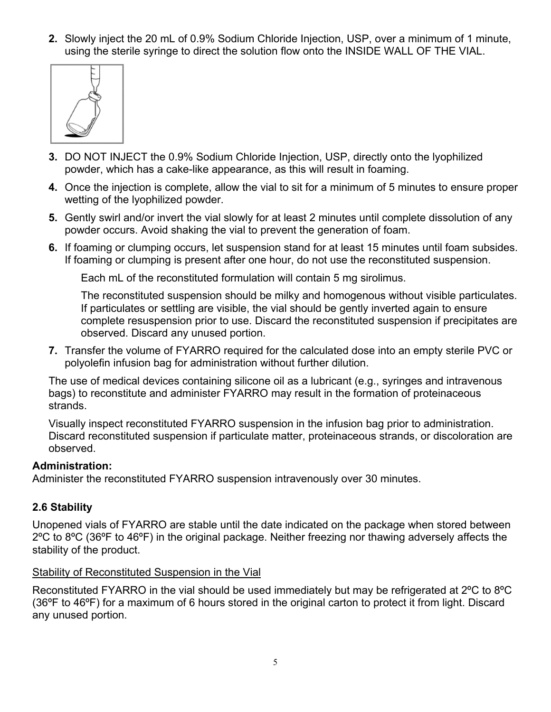<span id="page-4-0"></span>**2.** Slowly inject the 20 mL of 0.9% Sodium Chloride Injection, USP, over a minimum of 1 minute, using the sterile syringe to direct the solution flow onto the INSIDE WALL OF THE VIAL.



- **3.** DO NOT INJECT the 0.9% Sodium Chloride Injection, USP, directly onto the lyophilized powder, which has a cake-like appearance, as this will result in foaming.
- **4.** Once the injection is complete, allow the vial to sit for a minimum of 5 minutes to ensure proper wetting of the lyophilized powder.
- **5.** Gently swirl and/or invert the vial slowly for at least 2 minutes until complete dissolution of any powder occurs. Avoid shaking the vial to prevent the generation of foam.
- **6.** If foaming or clumping occurs, let suspension stand for at least 15 minutes until foam subsides. If foaming or clumping is present after one hour, do not use the reconstituted suspension.

Each mL of the reconstituted formulation will contain 5 mg sirolimus.

The reconstituted suspension should be milky and homogenous without visible particulates. If particulates or settling are visible, the vial should be gently inverted again to ensure complete resuspension prior to use. Discard the reconstituted suspension if precipitates are observed. Discard any unused portion.

**7.** Transfer the volume of FYARRO required for the calculated dose into an empty sterile PVC or polyolefin infusion bag for administration without further dilution.

The use of medical devices containing silicone oil as a lubricant (e.g., syringes and intravenous bags) to reconstitute and administer FYARRO may result in the formation of proteinaceous strands.

Visually inspect reconstituted FYARRO suspension in the infusion bag prior to administration. Discard reconstituted suspension if particulate matter, proteinaceous strands, or discoloration are observed.

#### **Administration:**

Administer the reconstituted FYARRO suspension intravenously over 30 minutes.

#### **2.6 Stability**

Unopened vials of FYARRO are stable until the date indicated on the package when stored between 2ºC to 8ºC (36ºF to 46ºF) in the original package. Neither freezing nor thawing adversely affects the stability of the product.

#### Stability of Reconstituted Suspension in the Vial

Reconstituted FYARRO in the vial should be used immediately but may be refrigerated at 2ºC to 8ºC (36ºF to 46ºF) for a maximum of 6 hours stored in the original carton to protect it from light. Discard any unused portion.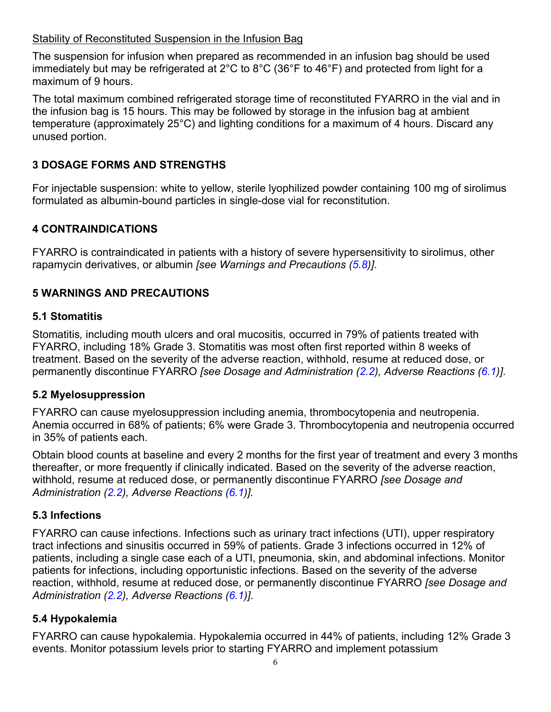#### <span id="page-5-0"></span>Stability of Reconstituted Suspension in the Infusion Bag

The suspension for infusion when prepared as recommended in an infusion bag should be used immediately but may be refrigerated at 2°C to 8°C (36°F to 46°F) and protected from light for a maximum of 9 hours.

The total maximum combined refrigerated storage time of reconstituted FYARRO in the vial and in the infusion bag is 15 hours. This may be followed by storage in the infusion bag at ambient temperature (approximately 25°C) and lighting conditions for a maximum of 4 hours. Discard any unused portion.

### **3 DOSAGE FORMS AND STRENGTHS**

For injectable suspension: white to yellow, sterile lyophilized powder containing 100 mg of sirolimus formulated as albumin-bound particles in single-dose vial for reconstitution.

### **4 CONTRAINDICATIONS**

FYARRO is contraindicated in patients with a history of severe hypersensitivity to sirolimus, other rapamycin derivatives, or albumin *[see Warnings and Precautions ([5.8](#page-6-0))]*.

### **5 WARNINGS AND PRECAUTIONS**

#### **5.1 Stomatitis**

Stomatitis*,* including mouth ulcers and oral mucositis*,* occurred in 79% of patients treated with FYARRO, including 18% Grade 3. Stomatitis was most often first reported within 8 weeks of treatment. Based on the severity of the adverse reaction, withhold, resume at reduced dose, or permanently discontinue FYARRO *[see Dosage and Administration ([2.2](#page-1-0)), Adverse Reactions ([6.1\)](#page-7-0)]*.

#### **5.2 Myelosuppression**

FYARRO can cause myelosuppression including anemia, thrombocytopenia and neutropenia. Anemia occurred in 68% of patients; 6% were Grade 3. Thrombocytopenia and neutropenia occurred in 35% of patients each.

Obtain blood counts at baseline and every 2 months for the first year of treatment and every 3 months thereafter, or more frequently if clinically indicated. Based on the severity of the adverse reaction, withhold, resume at reduced dose, or permanently discontinue FYARRO *[see Dosage and Administration [\(2.2\)](#page-1-0), Adverse Reactions [\(6.1](#page-7-0))].*

#### **5.3 Infections**

FYARRO can cause infections. Infections such as urinary tract infections (UTI), upper respiratory tract infections and sinusitis occurred in 59% of patients. Grade 3 infections occurred in 12% of patients, including a single case each of a UTI, pneumonia, skin, and abdominal infections. Monitor patients for infections, including opportunistic infections. Based on the severity of the adverse reaction, withhold, resume at reduced dose, or permanently discontinue FYARRO *[see Dosage and Administration [\(2.2\)](#page-1-0), Adverse Reactions [\(6.1](#page-7-0))]*.

#### **5.4 Hypokalemia**

FYARRO can cause hypokalemia. Hypokalemia occurred in 44% of patients, including 12% Grade 3 events. Monitor potassium levels prior to starting FYARRO and implement potassium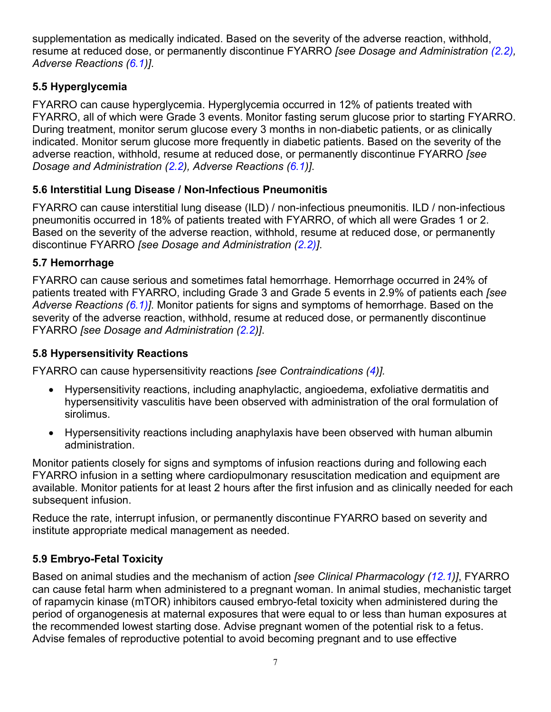<span id="page-6-0"></span>supplementation as medically indicated. Based on the severity of the adverse reaction, withhold, resume at reduced dose, or permanently discontinue FYARRO *[see Dosage and Administration ([2.2](#page-1-0)), Adverse Reactions ([6.1\)](#page-7-0)]*.

## **5.5 Hyperglycemia**

FYARRO can cause hyperglycemia. Hyperglycemia occurred in 12% of patients treated with FYARRO, all of which were Grade 3 events. Monitor fasting serum glucose prior to starting FYARRO. During treatment, monitor serum glucose every 3 months in non-diabetic patients, or as clinically indicated. Monitor serum glucose more frequently in diabetic patients. Based on the severity of the adverse reaction, withhold, resume at reduced dose, or permanently discontinue FYARRO *[see Dosage and Administration [\(2.2\)](#page-1-0), Adverse Reactions [\(6.1](#page-7-0))]*.

## **5.6 Interstitial Lung Disease / Non-Infectious Pneumonitis**

FYARRO can cause interstitial lung disease (ILD) / non-infectious pneumonitis. ILD / non-infectious pneumonitis occurred in 18% of patients treated with FYARRO, of which all were Grades 1 or 2. Based on the severity of the adverse reaction, withhold, resume at reduced dose, or permanently discontinue FYARRO *[see Dosage and Administration ([2.2\)](#page-1-0)]*.

### **5.7 Hemorrhage**

FYARRO can cause serious and sometimes fatal hemorrhage. Hemorrhage occurred in 24% of patients treated with FYARRO, including Grade 3 and Grade 5 events in 2.9% of patients each *[see Adverse Reactions ([6.1\)](#page-7-0)]*. Monitor patients for signs and symptoms of hemorrhage. Based on the severity of the adverse reaction, withhold, resume at reduced dose, or permanently discontinue FYARRO *[see Dosage and Administration ([2.2](#page-1-0))]*.

### **5.8 Hypersensitivity Reactions**

FYARRO can cause hypersensitivity reactions *[see Contraindications ([4\)](#page-5-0)].*

- Hypersensitivity reactions, including anaphylactic, angioedema, exfoliative dermatitis and hypersensitivity vasculitis have been observed with administration of the oral formulation of sirolimus.
- Hypersensitivity reactions including anaphylaxis have been observed with human albumin administration.

Monitor patients closely for signs and symptoms of infusion reactions during and following each FYARRO infusion in a setting where cardiopulmonary resuscitation medication and equipment are available. Monitor patients for at least 2 hours after the first infusion and as clinically needed for each subsequent infusion.

Reduce the rate, interrupt infusion, or permanently discontinue FYARRO based on severity and institute appropriate medical management as needed.

## **5.9 Embryo-Fetal Toxicity**

Based on animal studies and the mechanism of action *[see Clinical Pharmacology ([12.1](#page-14-0))]*, FYARRO can cause fetal harm when administered to a pregnant woman. In animal studies, mechanistic target of rapamycin kinase (mTOR) inhibitors caused embryo-fetal toxicity when administered during the period of organogenesis at maternal exposures that were equal to or less than human exposures at the recommended lowest starting dose. Advise pregnant women of the potential risk to a fetus. Advise females of reproductive potential to avoid becoming pregnant and to use effective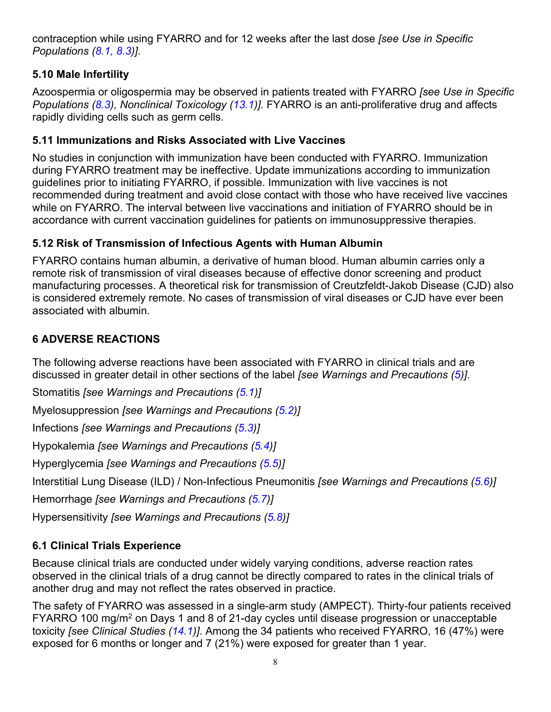<span id="page-7-0"></span>contraception while using FYARRO and for 12 weeks after the last dose *[see Use in Specific Populations ([8.1,](#page-11-0) [8.3\)\]](#page-12-0)*.

## **5.10 Male Infertility**

Azoospermia or oligospermia may be observed in patients treated with FYARRO *[see Use in Specific Populations ([8.3\)](#page-12-0), Nonclinical Toxicology [\(13.1](#page-15-0))]*. FYARRO is an anti-proliferative drug and affects rapidly dividing cells such as germ cells.

### **5.11 Immunizations and Risks Associated with Live Vaccines**

No studies in conjunction with immunization have been conducted with FYARRO. Immunization during FYARRO treatment may be ineffective. Update immunizations according to immunization guidelines prior to initiating FYARRO, if possible. Immunization with live vaccines is not recommended during treatment and avoid close contact with those who have received live vaccines while on FYARRO. The interval between live vaccinations and initiation of FYARRO should be in accordance with current vaccination guidelines for patients on immunosuppressive therapies.

## **5.12 Risk of Transmission of Infectious Agents with Human Albumin**

FYARRO contains human albumin, a derivative of human blood. Human albumin carries only a remote risk of transmission of viral diseases because of effective donor screening and product manufacturing processes. A theoretical risk for transmission of Creutzfeldt-Jakob Disease (CJD) also is considered extremely remote. No cases of transmission of viral diseases or CJD have ever been associated with albumin.

## **6 ADVERSE REACTIONS**

The following adverse reactions have been associated with FYARRO in clinical trials and are discussed in greater detail in other sections of the label *[see Warnings and Precautions [\(5\)](#page-5-0)]*.

Stomatitis *[see Warnings and Precautions [\(5.1\)](#page-5-0)]* Myelosuppression *[see Warnings and Precautions ([5.2](#page-5-0))]* Infections *[see Warnings and Precautions ([5.3](#page-5-0))]* Hypokalemia *[see Warnings and Precautions ([5.4\)](#page-5-0)]* Hyperglycemia *[see Warnings and Precautions [\(5.5](#page-6-0))]* Interstitial Lung Disease (ILD) / Non-Infectious Pneumonitis *[see Warnings and Precautions [\(5.6](#page-6-0))]* 

Hemorrhage *[see Warnings and Precautions ([5.7\)](#page-6-0)]*

Hypersensitivity *[see Warnings and Precautions [\(5.8\)](#page-6-0)]* 

## **6.1 Clinical Trials Experience**

Because clinical trials are conducted under widely varying conditions, adverse reaction rates observed in the clinical trials of a drug cannot be directly compared to rates in the clinical trials of another drug and may not reflect the rates observed in practice.

The safety of FYARRO was assessed in a single-arm study (AMPECT). Thirty-four patients received FYARRO 100 mg/m<sup>2</sup> on Days 1 and 8 of 21-day cycles until disease progression or unacceptable toxicity *[see Clinical Studies [\(14.1](#page-16-0))]*. Among the 34 patients who received FYARRO, 16 (47%) were exposed for 6 months or longer and 7 (21%) were exposed for greater than 1 year.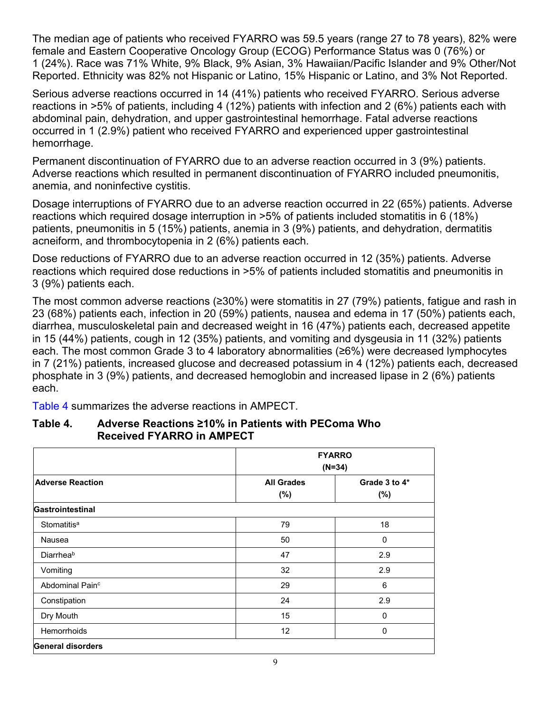The median age of patients who received FYARRO was 59.5 years (range 27 to 78 years), 82% were female and Eastern Cooperative Oncology Group (ECOG) Performance Status was 0 (76%) or 1 (24%). Race was 71% White, 9% Black, 9% Asian, 3% Hawaiian/Pacific Islander and 9% Other/Not Reported. Ethnicity was 82% not Hispanic or Latino, 15% Hispanic or Latino, and 3% Not Reported.

Serious adverse reactions occurred in 14 (41%) patients who received FYARRO. Serious adverse reactions in >5% of patients, including 4 (12%) patients with infection and 2 (6%) patients each with abdominal pain, dehydration, and upper gastrointestinal hemorrhage. Fatal adverse reactions occurred in 1 (2.9%) patient who received FYARRO and experienced upper gastrointestinal hemorrhage.

Permanent discontinuation of FYARRO due to an adverse reaction occurred in 3 (9%) patients. Adverse reactions which resulted in permanent discontinuation of FYARRO included pneumonitis, anemia, and noninfective cystitis.

Dosage interruptions of FYARRO due to an adverse reaction occurred in 22 (65%) patients. Adverse reactions which required dosage interruption in >5% of patients included stomatitis in 6 (18%) patients, pneumonitis in 5 (15%) patients, anemia in 3 (9%) patients, and dehydration, dermatitis acneiform, and thrombocytopenia in 2 (6%) patients each.

Dose reductions of FYARRO due to an adverse reaction occurred in 12 (35%) patients. Adverse reactions which required dose reductions in >5% of patients included stomatitis and pneumonitis in 3 (9%) patients each.

The most common adverse reactions (≥30%) were stomatitis in 27 (79%) patients, fatigue and rash in 23 (68%) patients each, infection in 20 (59%) patients, nausea and edema in 17 (50%) patients each, diarrhea, musculoskeletal pain and decreased weight in 16 (47%) patients each, decreased appetite in 15 (44%) patients, cough in 12 (35%) patients, and vomiting and dysgeusia in 11 (32%) patients each. The most common Grade 3 to 4 laboratory abnormalities (≥6%) were decreased lymphocytes in 7 (21%) patients, increased glucose and decreased potassium in 4 (12%) patients each, decreased phosphate in 3 (9%) patients, and decreased hemoglobin and increased lipase in 2 (6%) patients each.

Table 4 summarizes the adverse reactions in AMPECT.

|                             | <b>FYARRO</b><br>$(N=34)$ |               |  |
|-----------------------------|---------------------------|---------------|--|
| <b>Adverse Reaction</b>     | <b>All Grades</b>         | Grade 3 to 4* |  |
|                             | $(\%)$                    | $(\%)$        |  |
| Gastrointestinal            |                           |               |  |
| Stomatitis <sup>a</sup>     | 79                        | 18            |  |
| <b>Nausea</b>               | 50                        | 0             |  |
| Diarrheab                   | 47                        | 2.9           |  |
| Vomiting                    | 32                        | 2.9           |  |
| Abdominal Pain <sup>c</sup> | 29                        | 6             |  |
| Constipation                | 24                        | 2.9           |  |
| Dry Mouth                   | 15                        | $\mathbf{0}$  |  |
| <b>Hemorrhoids</b>          | 12                        | 0             |  |
| <b>General disorders</b>    |                           |               |  |

#### **Table 4. Adverse Reactions ≥10% in Patients with PEComa Who Received FYARRO in AMPECT**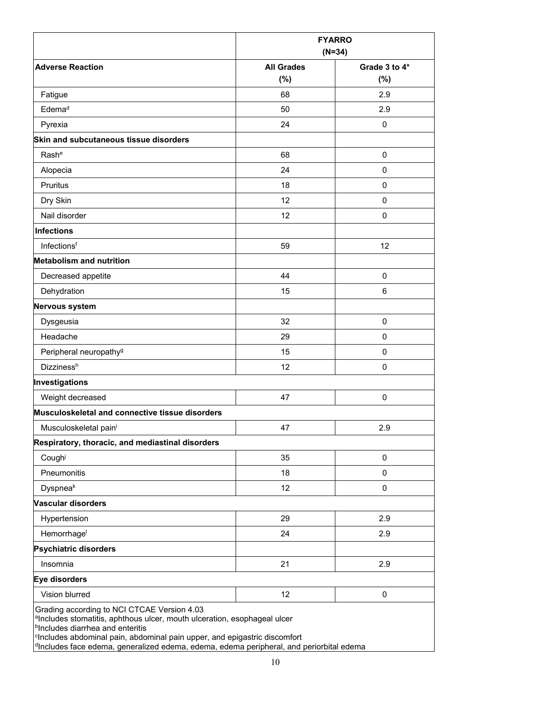|                                                                                                                                                                                                                                                                                                                                                        | <b>FYARRO</b><br>$(N=34)$ |               |
|--------------------------------------------------------------------------------------------------------------------------------------------------------------------------------------------------------------------------------------------------------------------------------------------------------------------------------------------------------|---------------------------|---------------|
| <b>Adverse Reaction</b>                                                                                                                                                                                                                                                                                                                                | <b>All Grades</b>         | Grade 3 to 4* |
|                                                                                                                                                                                                                                                                                                                                                        | $(\%)$                    | (%)           |
| Fatigue                                                                                                                                                                                                                                                                                                                                                | 68                        | 2.9           |
| Edema <sup>d</sup>                                                                                                                                                                                                                                                                                                                                     | 50                        | 2.9           |
| Pyrexia                                                                                                                                                                                                                                                                                                                                                | 24                        | $\mathbf 0$   |
| Skin and subcutaneous tissue disorders                                                                                                                                                                                                                                                                                                                 |                           |               |
| Rash <sup>e</sup>                                                                                                                                                                                                                                                                                                                                      | 68                        | $\mathbf 0$   |
| Alopecia                                                                                                                                                                                                                                                                                                                                               | 24                        | 0             |
| <b>Pruritus</b>                                                                                                                                                                                                                                                                                                                                        | 18                        | 0             |
| Dry Skin                                                                                                                                                                                                                                                                                                                                               | 12                        | $\mathbf 0$   |
| Nail disorder                                                                                                                                                                                                                                                                                                                                          | 12                        | $\mathbf 0$   |
| <b>Infections</b>                                                                                                                                                                                                                                                                                                                                      |                           |               |
| Infectionsf                                                                                                                                                                                                                                                                                                                                            | 59                        | 12            |
| <b>Metabolism and nutrition</b>                                                                                                                                                                                                                                                                                                                        |                           |               |
| Decreased appetite                                                                                                                                                                                                                                                                                                                                     | 44                        | $\mathbf 0$   |
| Dehydration                                                                                                                                                                                                                                                                                                                                            | 15                        | 6             |
| Nervous system                                                                                                                                                                                                                                                                                                                                         |                           |               |
| Dysgeusia                                                                                                                                                                                                                                                                                                                                              | 32                        | $\mathbf 0$   |
| Headache                                                                                                                                                                                                                                                                                                                                               | 29                        | 0             |
| Peripheral neuropathy <sup>g</sup>                                                                                                                                                                                                                                                                                                                     | 15                        | $\mathbf 0$   |
| <b>Dizzinessh</b>                                                                                                                                                                                                                                                                                                                                      | 12                        | 0             |
| Investigations                                                                                                                                                                                                                                                                                                                                         |                           |               |
| Weight decreased                                                                                                                                                                                                                                                                                                                                       | 47                        | $\mathbf 0$   |
| Musculoskeletal and connective tissue disorders                                                                                                                                                                                                                                                                                                        |                           |               |
| Musculoskeletal paini                                                                                                                                                                                                                                                                                                                                  | 47                        | 2.9           |
| Respiratory, thoracic, and mediastinal disorders                                                                                                                                                                                                                                                                                                       |                           |               |
| Cough                                                                                                                                                                                                                                                                                                                                                  | 35                        | $\mathbf 0$   |
| Pneumonitis                                                                                                                                                                                                                                                                                                                                            | 18                        | 0             |
| Dyspneak                                                                                                                                                                                                                                                                                                                                               | 12                        | $\mathbf 0$   |
| <b>Vascular disorders</b>                                                                                                                                                                                                                                                                                                                              |                           |               |
| Hypertension                                                                                                                                                                                                                                                                                                                                           | 29                        | 2.9           |
| Hemorrhage                                                                                                                                                                                                                                                                                                                                             | 24                        | 2.9           |
| <b>Psychiatric disorders</b>                                                                                                                                                                                                                                                                                                                           |                           |               |
| Insomnia                                                                                                                                                                                                                                                                                                                                               | 21                        | 2.9           |
| Eye disorders                                                                                                                                                                                                                                                                                                                                          |                           |               |
| Vision blurred                                                                                                                                                                                                                                                                                                                                         | 12                        | 0             |
| Grading according to NCI CTCAE Version 4.03<br>alncludes stomatitis, aphthous ulcer, mouth ulceration, esophageal ulcer<br><b>bIncludes diarrhea and enteritis</b><br><sup>c</sup> Includes abdominal pain, abdominal pain upper, and epigastric discomfort<br>dIncludes face edema, generalized edema, edema, edema peripheral, and periorbital edema |                           |               |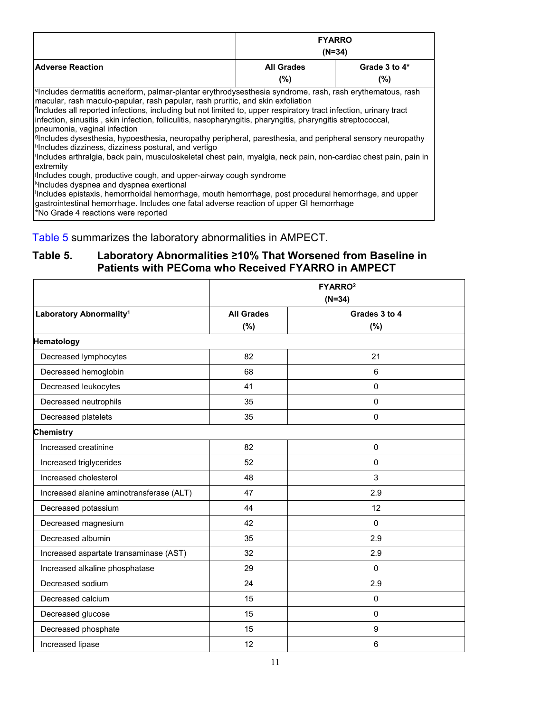|                                                                                                                                                                                                                                                                                                                                                                                                                                                                                                                                                                                                                                                                                                                                                                                                                                                                                                                                                                                                                                                                                                                                                          | <b>FYARRO</b><br>$(N=34)$ |               |  |
|----------------------------------------------------------------------------------------------------------------------------------------------------------------------------------------------------------------------------------------------------------------------------------------------------------------------------------------------------------------------------------------------------------------------------------------------------------------------------------------------------------------------------------------------------------------------------------------------------------------------------------------------------------------------------------------------------------------------------------------------------------------------------------------------------------------------------------------------------------------------------------------------------------------------------------------------------------------------------------------------------------------------------------------------------------------------------------------------------------------------------------------------------------|---------------------------|---------------|--|
| <b>Adverse Reaction</b>                                                                                                                                                                                                                                                                                                                                                                                                                                                                                                                                                                                                                                                                                                                                                                                                                                                                                                                                                                                                                                                                                                                                  | <b>All Grades</b>         | Grade 3 to 4* |  |
|                                                                                                                                                                                                                                                                                                                                                                                                                                                                                                                                                                                                                                                                                                                                                                                                                                                                                                                                                                                                                                                                                                                                                          | $(\% )$                   | $(\%)$        |  |
| <sup>e</sup> lncludes dermatitis acneiform, palmar-plantar erythrodysesthesia syndrome, rash, rash erythematous, rash<br>macular, rash maculo-papular, rash papular, rash pruritic, and skin exfoliation<br>Includes all reported infections, including but not limited to, upper respiratory tract infection, urinary tract<br>infection, sinusitis, skin infection, folliculitis, nasopharyngitis, pharyngitis, pharyngitis streptococcal,<br>pneumonia, vaginal infection<br>Includes dysesthesia, hypoesthesia, neuropathy peripheral, paresthesia, and peripheral sensory neuropathy<br>hncludes dizziness, dizziness postural, and vertigo<br>llncludes arthralgia, back pain, musculoskeletal chest pain, myalgia, neck pain, non-cardiac chest pain, pain in<br>extremity<br>Includes cough, productive cough, and upper-airway cough syndrome<br><sup>k</sup> Includes dyspnea and dyspnea exertional<br>'Includes epistaxis, hemorrhoidal hemorrhage, mouth hemorrhage, post procedural hemorrhage, and upper<br>gastrointestinal hemorrhage. Includes one fatal adverse reaction of upper GI hemorrhage<br>No Grade 4 reactions were reported |                           |               |  |

Table 5 summarizes the laboratory abnormalities in AMPECT.

#### **Table 5. Laboratory Abnormalities ≥10% That Worsened from Baseline in Patients with PEComa who Received FYARRO in AMPECT**

|                                          | FYARRO <sup>2</sup><br>$(N=34)$ |                      |
|------------------------------------------|---------------------------------|----------------------|
| Laboratory Abnormality <sup>1</sup>      | <b>All Grades</b><br>(%)        | Grades 3 to 4<br>(%) |
| Hematology                               |                                 |                      |
| Decreased lymphocytes                    | 82                              | 21                   |
| Decreased hemoglobin                     | 68                              | 6                    |
| Decreased leukocytes                     | 41                              | 0                    |
| Decreased neutrophils                    | 35                              | $\Omega$             |
| Decreased platelets                      | 35                              | $\mathbf{0}$         |
| <b>Chemistry</b>                         |                                 |                      |
| Increased creatinine                     | 82                              | $\mathbf 0$          |
| Increased triglycerides                  | 52                              | $\mathbf 0$          |
| Increased cholesterol                    | 48                              | 3                    |
| Increased alanine aminotransferase (ALT) | 47                              | 2.9                  |
| Decreased potassium                      | 44                              | 12                   |
| Decreased magnesium                      | 42                              | $\mathbf{0}$         |
| Decreased albumin                        | 35                              | 2.9                  |
| Increased aspartate transaminase (AST)   | 32                              | 2.9                  |
| Increased alkaline phosphatase           | 29                              | $\pmb{0}$            |
| Decreased sodium                         | 24                              | 2.9                  |
| Decreased calcium                        | 15                              | $\mathbf 0$          |
| Decreased glucose                        | 15                              | $\mathbf 0$          |
| Decreased phosphate                      | 15                              | 9                    |
| Increased lipase                         | 12                              | 6                    |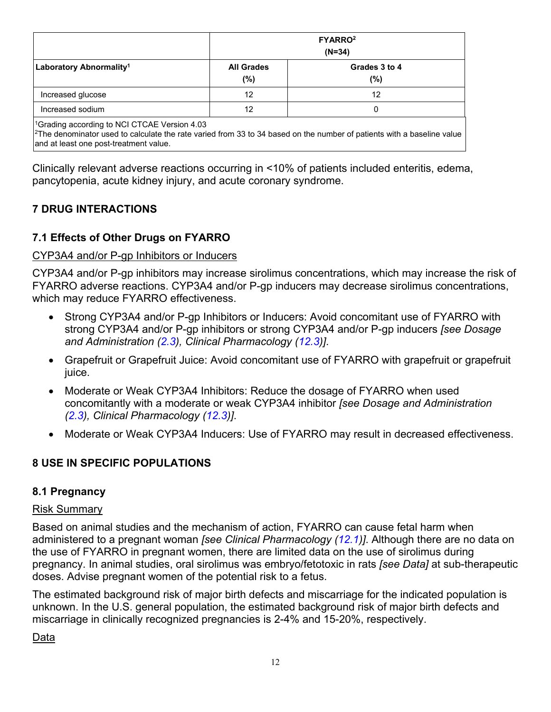<span id="page-11-0"></span>

|                                                | FYARRO <sup>2</sup><br>$(N=34)$ |                         |
|------------------------------------------------|---------------------------------|-------------------------|
| Laboratory Abnormality <sup>1</sup>            | <b>All Grades</b><br>$(\%)$     | Grades 3 to 4<br>$(\%)$ |
| Increased glucose                              | 12                              | 12                      |
| Increased sodium                               | 12                              |                         |
| $10$ rading assorbing to NCLCTCAE Varsion 4.02 |                                 |                         |

1Grading according to NCI CTCAE Version 4.03

 $2$ The denominator used to calculate the rate varied from 33 to 34 based on the number of patients with a baseline value and at least one post-treatment value.

Clinically relevant adverse reactions occurring in <10% of patients included enteritis, edema, pancytopenia, acute kidney injury, and acute coronary syndrome.

### **7 DRUG INTERACTIONS**

### **7.1 Effects of Other Drugs on FYARRO**

#### CYP3A4 and/or P-gp Inhibitors or Inducers

CYP3A4 and/or P-gp inhibitors may increase sirolimus concentrations, which may increase the risk of FYARRO adverse reactions. CYP3A4 and/or P-gp inducers may decrease sirolimus concentrations, which may reduce FYARRO effectiveness.

- Strong CYP3A4 and/or P-gp Inhibitors or Inducers: Avoid concomitant use of FYARRO with strong CYP3A4 and/or P-gp inhibitors or strong CYP3A4 and/or P-gp inducers *[see Dosage and Administration ([2.3](#page-3-0)), Clinical Pharmacology ([12.3\)](#page-15-0)]*.
- Grapefruit or Grapefruit Juice: Avoid concomitant use of FYARRO with grapefruit or grapefruit juice.
- Moderate or Weak CYP3A4 Inhibitors: Reduce the dosage of FYARRO when used concomitantly with a moderate or weak CYP3A4 inhibitor *[see Dosage and Administration ([2.3\)](#page-3-0), Clinical Pharmacology [\(12.3](#page-15-0))]*.
- Moderate or Weak CYP3A4 Inducers: Use of FYARRO may result in decreased effectiveness.

#### **8 USE IN SPECIFIC POPULATIONS**

#### **8.1 Pregnancy**

#### Risk Summary

Based on animal studies and the mechanism of action, FYARRO can cause fetal harm when administered to a pregnant woman *[see Clinical Pharmacology ([12.1](#page-14-0))]*. Although there are no data on the use of FYARRO in pregnant women, there are limited data on the use of sirolimus during pregnancy. In animal studies, oral sirolimus was embryo/fetotoxic in rats *[see Data]* at sub-therapeutic doses. Advise pregnant women of the potential risk to a fetus.

The estimated background risk of major birth defects and miscarriage for the indicated population is unknown. In the U.S. general population, the estimated background risk of major birth defects and miscarriage in clinically recognized pregnancies is 2-4% and 15-20%, respectively.

Data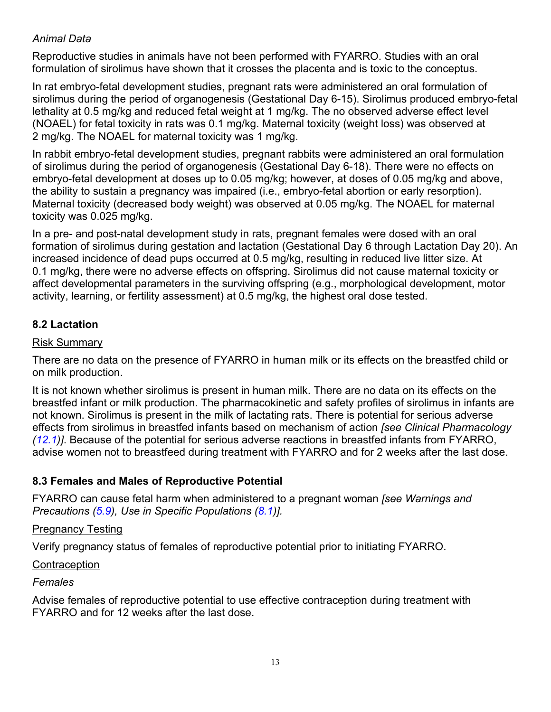### <span id="page-12-0"></span>*Animal Data*

Reproductive studies in animals have not been performed with FYARRO. Studies with an oral formulation of sirolimus have shown that it crosses the placenta and is toxic to the conceptus.

In rat embryo-fetal development studies, pregnant rats were administered an oral formulation of sirolimus during the period of organogenesis (Gestational Day 6-15). Sirolimus produced embryo-fetal lethality at 0.5 mg/kg and reduced fetal weight at 1 mg/kg. The no observed adverse effect level (NOAEL) for fetal toxicity in rats was 0.1 mg/kg. Maternal toxicity (weight loss) was observed at 2 mg/kg. The NOAEL for maternal toxicity was 1 mg/kg.

In rabbit embryo-fetal development studies, pregnant rabbits were administered an oral formulation of sirolimus during the period of organogenesis (Gestational Day 6-18). There were no effects on embryo-fetal development at doses up to 0.05 mg/kg; however, at doses of 0.05 mg/kg and above, the ability to sustain a pregnancy was impaired (i.e., embryo-fetal abortion or early resorption). Maternal toxicity (decreased body weight) was observed at 0.05 mg/kg. The NOAEL for maternal toxicity was 0.025 mg/kg.

In a pre- and post-natal development study in rats, pregnant females were dosed with an oral formation of sirolimus during gestation and lactation (Gestational Day 6 through Lactation Day 20). An increased incidence of dead pups occurred at 0.5 mg/kg, resulting in reduced live litter size. At 0.1 mg/kg, there were no adverse effects on offspring. Sirolimus did not cause maternal toxicity or affect developmental parameters in the surviving offspring (e.g., morphological development, motor activity, learning, or fertility assessment) at 0.5 mg/kg, the highest oral dose tested.

#### **8.2 Lactation**

#### Risk Summary

There are no data on the presence of FYARRO in human milk or its effects on the breastfed child or on milk production.

It is not known whether sirolimus is present in human milk. There are no data on its effects on the breastfed infant or milk production. The pharmacokinetic and safety profiles of sirolimus in infants are not known. Sirolimus is present in the milk of lactating rats. There is potential for serious adverse effects from sirolimus in breastfed infants based on mechanism of action *[see Clinical Pharmacology ([12.1](#page-14-0))]*. Because of the potential for serious adverse reactions in breastfed infants from FYARRO, advise women not to breastfeed during treatment with FYARRO and for 2 weeks after the last dose.

### **8.3 Females and Males of Reproductive Potential**

FYARRO can cause fetal harm when administered to a pregnant woman *[see Warnings and Precautions ([5.9](#page-6-0)), Use in Specific Populations ([8.1](#page-11-0))].*

#### Pregnancy Testing

Verify pregnancy status of females of reproductive potential prior to initiating FYARRO.

#### **Contraception**

*Females*

Advise females of reproductive potential to use effective contraception during treatment with FYARRO and for 12 weeks after the last dose.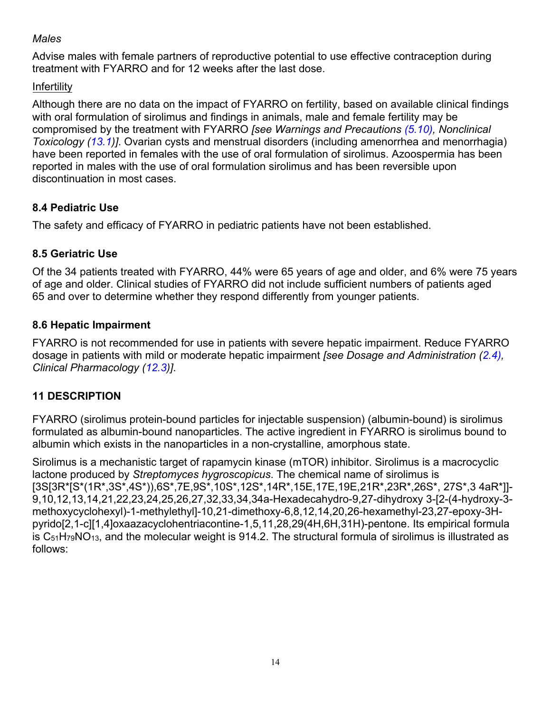### <span id="page-13-0"></span>*Males*

Advise males with female partners of reproductive potential to use effective contraception during treatment with FYARRO and for 12 weeks after the last dose.

## Infertility

Although there are no data on the impact of FYARRO on fertility, based on available clinical findings with oral formulation of sirolimus and findings in animals, male and female fertility may be compromised by the treatment with FYARRO *[see Warnings and Precautions ([5.10\)](#page-7-0), Nonclinical Toxicology ([13.1](#page-15-0))]*. Ovarian cysts and menstrual disorders (including amenorrhea and menorrhagia) have been reported in females with the use of oral formulation of sirolimus. Azoospermia has been reported in males with the use of oral formulation sirolimus and has been reversible upon discontinuation in most cases.

## **8.4 Pediatric Use**

The safety and efficacy of FYARRO in pediatric patients have not been established.

## **8.5 Geriatric Use**

Of the 34 patients treated with FYARRO, 44% were 65 years of age and older, and 6% were 75 years of age and older. Clinical studies of FYARRO did not include sufficient numbers of patients aged 65 and over to determine whether they respond differently from younger patients.

### **8.6 Hepatic Impairment**

FYARRO is not recommended for use in patients with severe hepatic impairment. Reduce FYARRO dosage in patients with mild or moderate hepatic impairment *[see Dosage and Administration [\(2.4\)](#page-3-0), Clinical Pharmacology ([12.3](#page-15-0))]*.

### **11 DESCRIPTION**

FYARRO (sirolimus protein-bound particles for injectable suspension) (albumin-bound) is sirolimus formulated as albumin-bound nanoparticles. The active ingredient in FYARRO is sirolimus bound to albumin which exists in the nanoparticles in a non-crystalline, amorphous state.

Sirolimus is a mechanistic target of rapamycin kinase (mTOR) inhibitor. Sirolimus is a macrocyclic lactone produced by *Streptomyces hygroscopicus*. The chemical name of sirolimus is [3S[3R\*[S\*(1R\*,3S\*,4S\*)),6S\*,7E,9S\*,10S\*,12S\*,14R\*,15E,17E,19E,21R\*,23R\*,26S\*, 27S\*,3 4aR\*]]- 9,10,12,13,14,21,22,23,24,25,26,27,32,33,34,34a-Hexadecahydro-9,27-dihydroxy 3-[2-(4-hydroxy-3 methoxycyclohexyl)-1-methylethyl]-10,21-dimethoxy-6,8,12,14,20,26-hexamethyl-23,27-epoxy-3Hpyrido[2,1-c][1,4]oxaazacyclohentriacontine-1,5,11,28,29(4H,6H,31H)-pentone. Its empirical formula is  $C_{51}H_{79}NO_{13}$ , and the molecular weight is 914.2. The structural formula of sirolimus is illustrated as follows: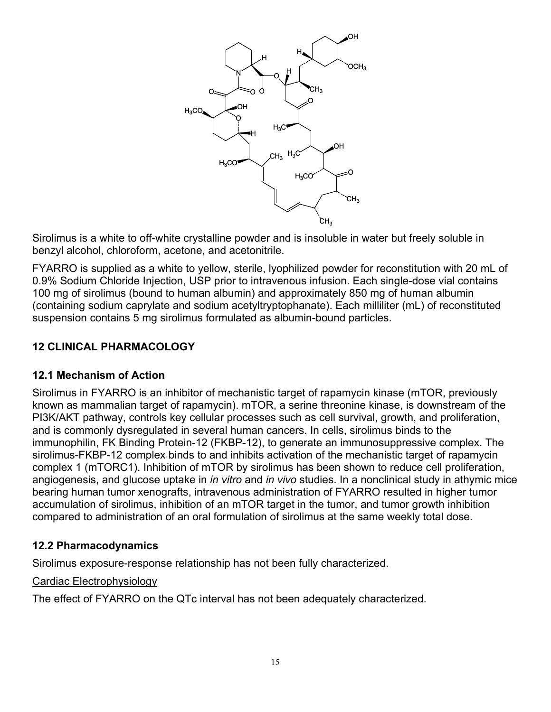<span id="page-14-0"></span>

Sirolimus is a white to off-white crystalline powder and is insoluble in water but freely soluble in benzyl alcohol, chloroform, acetone, and acetonitrile.

FYARRO is supplied as a white to yellow, sterile, lyophilized powder for reconstitution with 20 mL of 0.9% Sodium Chloride Injection, USP prior to intravenous infusion. Each single-dose vial contains 100 mg of sirolimus (bound to human albumin) and approximately 850 mg of human albumin (containing sodium caprylate and sodium acetyltryptophanate). Each milliliter (mL) of reconstituted suspension contains 5 mg sirolimus formulated as albumin-bound particles.

#### **12 CLINICAL PHARMACOLOGY**

#### **12.1 Mechanism of Action**

Sirolimus in FYARRO is an inhibitor of mechanistic target of rapamycin kinase (mTOR, previously known as mammalian target of rapamycin). mTOR, a serine threonine kinase, is downstream of the PI3K/AKT pathway, controls key cellular processes such as cell survival, growth, and proliferation, and is commonly dysregulated in several human cancers. In cells, sirolimus binds to the immunophilin, FK Binding Protein-12 (FKBP-12), to generate an immunosuppressive complex. The sirolimus-FKBP-12 complex binds to and inhibits activation of the mechanistic target of rapamycin complex 1 (mTORC1). Inhibition of mTOR by sirolimus has been shown to reduce cell proliferation, angiogenesis, and glucose uptake in *in vitro* and *in vivo* studies. In a nonclinical study in athymic mice bearing human tumor xenografts, intravenous administration of FYARRO resulted in higher tumor accumulation of sirolimus, inhibition of an mTOR target in the tumor, and tumor growth inhibition compared to administration of an oral formulation of sirolimus at the same weekly total dose.

#### **12.2 Pharmacodynamics**

Sirolimus exposure-response relationship has not been fully characterized.

#### Cardiac Electrophysiology

The effect of FYARRO on the QTc interval has not been adequately characterized.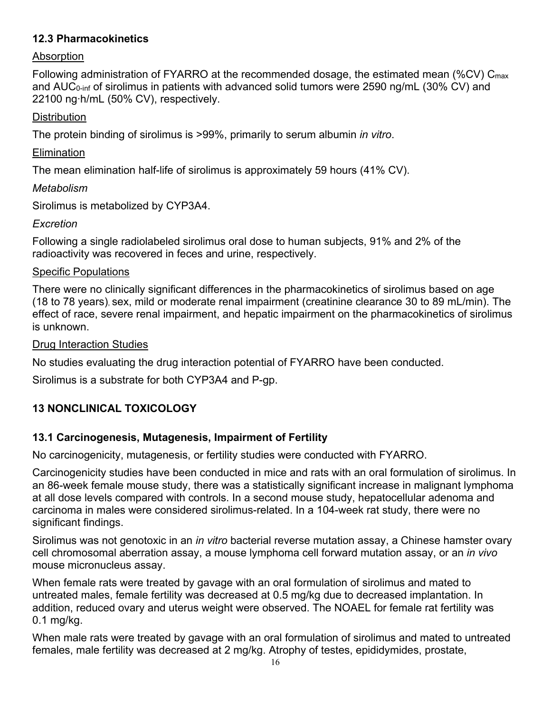### <span id="page-15-0"></span>**12.3 Pharmacokinetics**

### Absorption

Following administration of FYARRO at the recommended dosage, the estimated mean (%CV) C<sub>max</sub> and AUC<sub>0-inf</sub> of sirolimus in patients with advanced solid tumors were 2590 ng/mL (30% CV) and 22100 ng∙h/mL (50% CV), respectively.

### **Distribution**

The protein binding of sirolimus is >99%, primarily to serum albumin *in vitro*.

#### **Elimination**

The mean elimination half-life of sirolimus is approximately 59 hours (41% CV).

### *Metabolism*

Sirolimus is metabolized by CYP3A4.

### *Excretion*

Following a single radiolabeled sirolimus oral dose to human subjects, 91% and 2% of the radioactivity was recovered in feces and urine, respectively.

### Specific Populations

There were no clinically significant differences in the pharmacokinetics of sirolimus based on age (18 to 78 years), sex, mild or moderate renal impairment (creatinine clearance 30 to 89 mL/min). The effect of race, severe renal impairment, and hepatic impairment on the pharmacokinetics of sirolimus is unknown.

### Drug Interaction Studies

No studies evaluating the drug interaction potential of FYARRO have been conducted.

Sirolimus is a substrate for both CYP3A4 and P-gp.

## **13 NONCLINICAL TOXICOLOGY**

### **13.1 Carcinogenesis, Mutagenesis, Impairment of Fertility**

No carcinogenicity, mutagenesis, or fertility studies were conducted with FYARRO.

Carcinogenicity studies have been conducted in mice and rats with an oral formulation of sirolimus. In an 86-week female mouse study, there was a statistically significant increase in malignant lymphoma at all dose levels compared with controls. In a second mouse study, hepatocellular adenoma and carcinoma in males were considered sirolimus-related. In a 104-week rat study, there were no significant findings.

Sirolimus was not genotoxic in an *in vitro* bacterial reverse mutation assay, a Chinese hamster ovary cell chromosomal aberration assay, a mouse lymphoma cell forward mutation assay, or an *in vivo* mouse micronucleus assay.

When female rats were treated by gavage with an oral formulation of sirolimus and mated to untreated males, female fertility was decreased at 0.5 mg/kg due to decreased implantation. In addition, reduced ovary and uterus weight were observed. The NOAEL for female rat fertility was 0.1 mg/kg.

When male rats were treated by gavage with an oral formulation of sirolimus and mated to untreated females, male fertility was decreased at 2 mg/kg. Atrophy of testes, epididymides, prostate,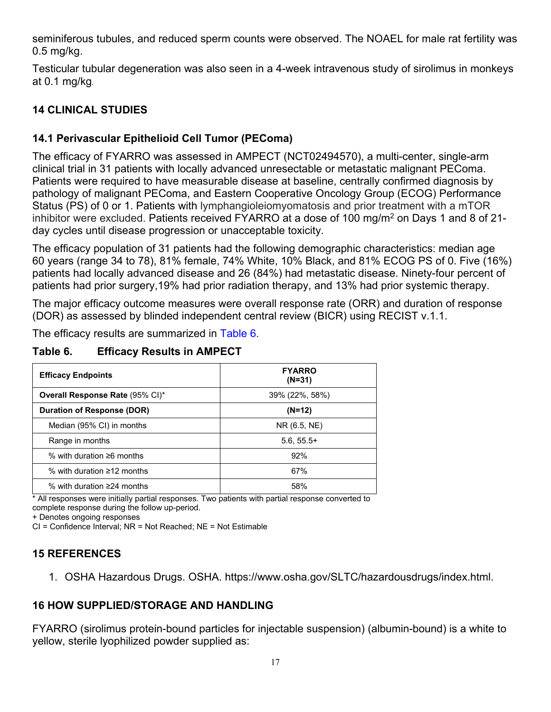<span id="page-16-0"></span>seminiferous tubules, and reduced sperm counts were observed. The NOAEL for male rat fertility was 0.5 mg/kg.

Testicular tubular degeneration was also seen in a 4-week intravenous study of sirolimus in monkeys at 0.1 mg/kg.

### **14 CLINICAL STUDIES**

### **14.1 Perivascular Epithelioid Cell Tumor (PEComa)**

The efficacy of FYARRO was assessed in AMPECT (NCT02494570), a multi-center, single-arm clinical trial in 31 patients with locally advanced unresectable or metastatic malignant PEComa. Patients were required to have measurable disease at baseline, centrally confirmed diagnosis by pathology of malignant PEComa, and Eastern Cooperative Oncology Group (ECOG) Performance Status (PS) of 0 or 1. Patients with lymphangioleiomyomatosis and prior treatment with a mTOR inhibitor were excluded. Patients received FYARRO at a dose of 100 mg/m<sup>2</sup> on Days 1 and 8 of 21day cycles until disease progression or unacceptable toxicity.

The efficacy population of 31 patients had the following demographic characteristics: median age 60 years (range 34 to 78), 81% female, 74% White, 10% Black, and 81% ECOG PS of 0. Five (16%) patients had locally advanced disease and 26 (84%) had metastatic disease. Ninety-four percent of patients had prior surgery,19% had prior radiation therapy, and 13% had prior systemic therapy.

The major efficacy outcome measures were overall response rate (ORR) and duration of response (DOR) as assessed by blinded independent central review (BICR) using RECIST v.1.1.

The efficacy results are summarized in Table 6.

| <b>Efficacy Endpoints</b>        | <b>FYARRO</b><br>$(N=31)$ |
|----------------------------------|---------------------------|
| Overall Response Rate (95% CI)*  | 39% (22%, 58%)            |
| Duration of Response (DOR)       | $(N=12)$                  |
| Median (95% CI) in months        | NR (6.5, NE)              |
| Range in months                  | $5.6, 55.5+$              |
| % with duration $\geq 6$ months  | 92%                       |
| % with duration $\geq$ 12 months | 67%                       |
| % with duration $\geq$ 24 months | 58%                       |

### **Table 6. Efficacy Results in AMPECT**

\* All responses were initially partial responses. Two patients with partial response converted to complete response during the follow up-period.

+ Denotes ongoing responses

CI = Confidence Interval; NR = Not Reached; NE = Not Estimable

### **15 REFERENCES**

1. OSHA Hazardous Drugs. OSHA. https://www.osha.gov/SLTC/hazardousdrugs/index.html.

## **16 HOW SUPPLIED/STORAGE AND HANDLING**

FYARRO (sirolimus protein-bound particles for injectable suspension) (albumin-bound) is a white to yellow, sterile lyophilized powder supplied as: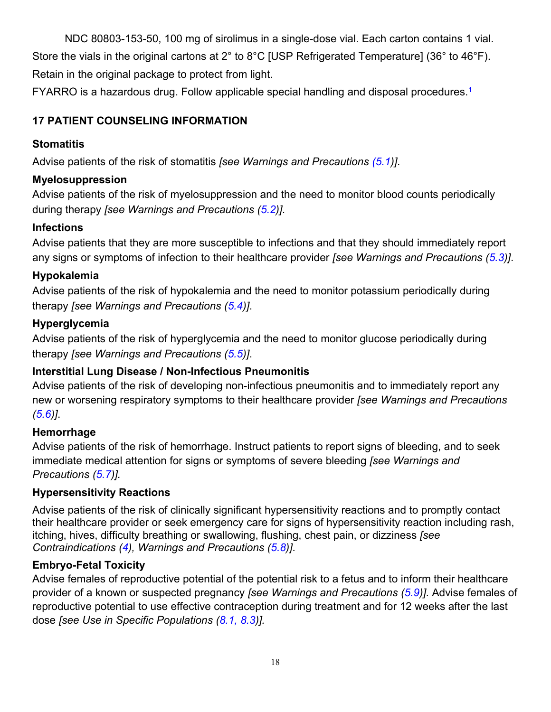<span id="page-17-0"></span>NDC 80803-153-50, 100 mg of sirolimus in a single-dose vial. Each carton contains 1 vial. Store the vials in the original cartons at 2° to 8°C [USP Refrigerated Temperature] (36° to 46°F). Retain in the original package to protect from light.

FYARRO is a hazardous drug. Follow applicable special handling and disposal procedures.<sup>1</sup>

## **17 PATIENT COUNSELING INFORMATION**

## **Stomatitis**

Advise patients of the risk of stomatitis *[see Warnings and Precautions [\(5.1](#page-5-0))]*.

## **Myelosuppression**

Advise patients of the risk of myelosuppression and the need to monitor blood counts periodically during therapy *[see Warnings and Precautions ([5.2](#page-5-0))].*

## **Infections**

Advise patients that they are more susceptible to infections and that they should immediately report any signs or symptoms of infection to their healthcare provider *[see Warnings and Precautions ([5.3](#page-5-0))]*.

## **Hypokalemia**

Advise patients of the risk of hypokalemia and the need to monitor potassium periodically during therapy *[see Warnings and Precautions [\(5.4\)](#page-5-0)]*.

## **Hyperglycemia**

Advise patients of the risk of hyperglycemia and the need to monitor glucose periodically during therapy *[see Warnings and Precautions [\(5.5\)](#page-6-0)]*.

## **Interstitial Lung Disease / Non-Infectious Pneumonitis**

Advise patients of the risk of developing non-infectious pneumonitis and to immediately report any new or worsening respiratory symptoms to their healthcare provider *[see Warnings and Precautions ([5.6\)\]](#page-6-0)*.

### **Hemorrhage**

Advise patients of the risk of hemorrhage. Instruct patients to report signs of bleeding, and to seek immediate medical attention for signs or symptoms of severe bleeding *[see Warnings and Precautions ([5.7](#page-6-0))].*

## **Hypersensitivity Reactions**

Advise patients of the risk of clinically significant hypersensitivity reactions and to promptly contact their healthcare provider or seek emergency care for signs of hypersensitivity reaction including rash, itching, hives, difficulty breathing or swallowing, flushing, chest pain, or dizziness *[see Contraindications ([4\)](#page-5-0), Warnings and Precautions [\(5.8\)](#page-6-0)]*.

## **Embryo-Fetal Toxicity**

Advise females of reproductive potential of the potential risk to a fetus and to inform their healthcare provider of a known or suspected pregnancy *[see Warnings and Precautions ([5.9](#page-6-0))].* Advise females of reproductive potential to use effective contraception during treatment and for 12 weeks after the last dose *[see Use in Specific Populations ([8.1,](#page-11-0) [8.3\)](#page-12-0)].*